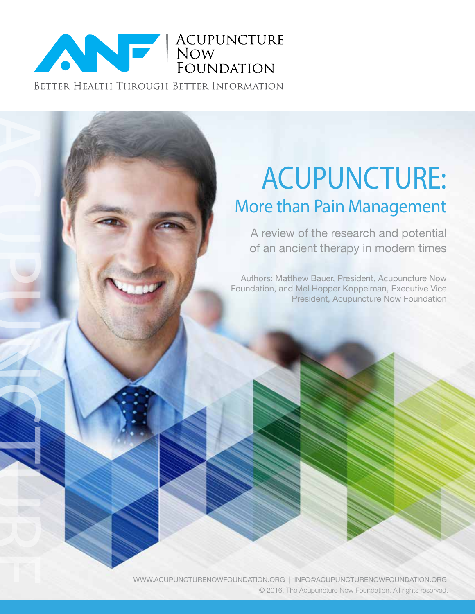

ACUPUNCTURE

# Acupuncture: More than Pain Management

A review of the research and potential of an ancient therapy in modern times

Authors: Matthew Bauer, President, Acupuncture Now Foundation, and Mel Hopper Koppelman, Executive Vice President, Acupuncture Now Foundation

WWW.ACUPUNCTURENOWFOUNDATION.ORG | INFO@ACUPUNCTURENOWFOUNDATION.ORG © 2016, The Acupuncture Now Foundation. All rights reserved.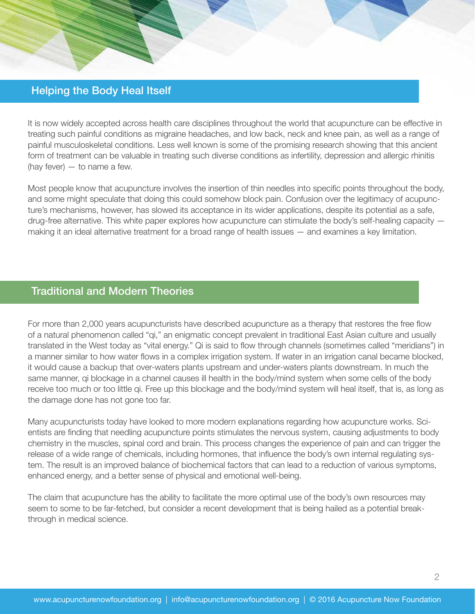# Helping the Body Heal Itself

It is now widely accepted across health care disciplines throughout the world that acupuncture can be effective in treating such painful conditions as migraine headaches, and low back, neck and knee pain, as well as a range of painful musculoskeletal conditions. Less well known is some of the promising research showing that this ancient form of treatment can be valuable in treating such diverse conditions as infertility, depression and allergic rhinitis (hay fever)  $-$  to name a few.

Most people know that acupuncture involves the insertion of thin needles into specific points throughout the body, and some might speculate that doing this could somehow block pain. Confusion over the legitimacy of acupuncture's mechanisms, however, has slowed its acceptance in its wider applications, despite its potential as a safe, drug-free alternative. This white paper explores how acupuncture can stimulate the body's self-healing capacity making it an ideal alternative treatment for a broad range of health issues — and examines a key limitation.

## Traditional and Modern Theories

For more than 2,000 years acupuncturists have described acupuncture as a therapy that restores the free flow of a natural phenomenon called "qi," an enigmatic concept prevalent in traditional East Asian culture and usually translated in the West today as "vital energy." Qi is said to flow through channels (sometimes called "meridians") in a manner similar to how water flows in a complex irrigation system. If water in an irrigation canal became blocked, it would cause a backup that over-waters plants upstream and under-waters plants downstream. In much the same manner, qi blockage in a channel causes ill health in the body/mind system when some cells of the body receive too much or too little qi. Free up this blockage and the body/mind system will heal itself, that is, as long as the damage done has not gone too far.

Many acupuncturists today have looked to more modern explanations regarding how acupuncture works. Scientists are finding that needling acupuncture points stimulates the nervous system, causing adjustments to body chemistry in the muscles, spinal cord and brain. This process changes the experience of pain and can trigger the release of a wide range of chemicals, including hormones, that influence the body's own internal regulating system. The result is an improved balance of biochemical factors that can lead to a reduction of various symptoms, enhanced energy, and a better sense of physical and emotional well-being.

The claim that acupuncture has the ability to facilitate the more optimal use of the body's own resources may seem to some to be far-fetched, but consider a recent development that is being hailed as a potential breakthrough in medical science.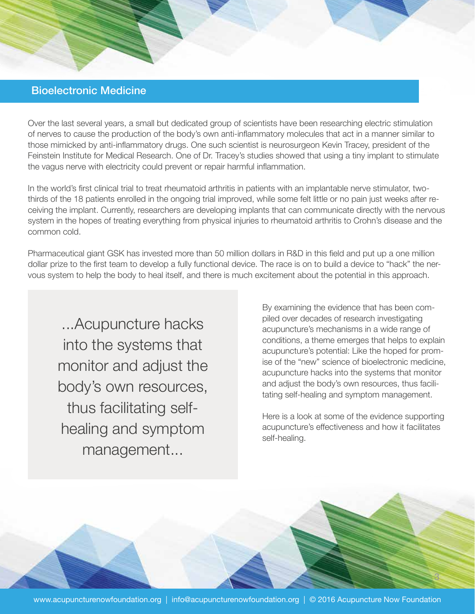# Bioelectronic Medicine

Over the last several years, a small but dedicated group of scientists have been researching electric stimulation of nerves to cause the production of the body's own anti-inflammatory molecules that act in a manner similar to those mimicked by anti-inflammatory drugs. One such scientist is neurosurgeon Kevin Tracey, president of the Feinstein Institute for Medical Research. One of Dr. Tracey's studies showed that using a tiny implant to stimulate the vagus nerve with electricity could prevent or repair harmful inflammation.

In the world's first clinical trial to treat rheumatoid arthritis in patients with an implantable nerve stimulator, twothirds of the 18 patients enrolled in the ongoing trial improved, while some felt little or no pain just weeks after receiving the implant. Currently, researchers are developing implants that can communicate directly with the nervous system in the hopes of treating everything from physical injuries to rheumatoid arthritis to Crohn's disease and the common cold.

Pharmaceutical giant GSK has invested more than 50 million dollars in R&D in this field and put up a one million dollar prize to the first team to develop a fully functional device. The race is on to build a device to "hack" the nervous system to help the body to heal itself, and there is much excitement about the potential in this approach.

...Acupuncture hacks into the systems that monitor and adjust the body's own resources, thus facilitating selfhealing and symptom management...

By examining the evidence that has been compiled over decades of research investigating acupuncture's mechanisms in a wide range of conditions, a theme emerges that helps to explain acupuncture's potential: Like the hoped for promise of the "new" science of bioelectronic medicine, acupuncture hacks into the systems that monitor and adjust the body's own resources, thus facilitating self-healing and symptom management.

Here is a look at some of the evidence supporting acupuncture's effectiveness and how it facilitates self-healing.

3

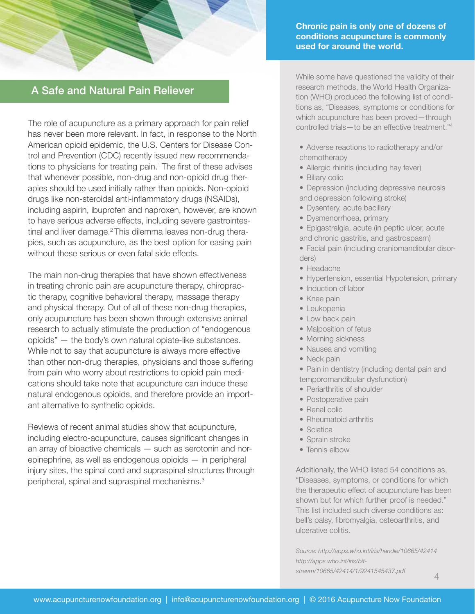

# A Safe and Natural Pain Reliever

The role of acupuncture as a primary approach for pain relief has never been more relevant. In fact, in response to the North American opioid epidemic, the U.S. Centers for Disease Control and Prevention (CDC) recently issued new recommendations to physicians for treating pain.<sup>1</sup> The first of these advises that whenever possible, non-drug and non-opioid drug therapies should be used initially rather than opioids. Non-opioid drugs like non-steroidal anti-inflammatory drugs (NSAIDs), including aspirin, ibuprofen and naproxen, however, are known to have serious adverse effects, including severe gastrointestinal and liver damage.<sup>2</sup> This dilemma leaves non-drug therapies, such as acupuncture, as the best option for easing pain without these serious or even fatal side effects.

The main non-drug therapies that have shown effectiveness in treating chronic pain are acupuncture therapy, chiropractic therapy, cognitive behavioral therapy, massage therapy and physical therapy. Out of all of these non-drug therapies, only acupuncture has been shown through extensive animal research to actually stimulate the production of "endogenous opioids" — the body's own natural opiate-like substances. While not to say that acupuncture is always more effective than other non-drug therapies, physicians and those suffering from pain who worry about restrictions to opioid pain medications should take note that acupuncture can induce these natural endogenous opioids, and therefore provide an important alternative to synthetic opioids.

Reviews of recent animal studies show that acupuncture, including electro-acupuncture, causes significant changes in an array of bioactive chemicals — such as serotonin and norepinephrine, as well as endogenous opioids — in peripheral injury sites, the spinal cord and supraspinal structures through peripheral, spinal and supraspinal mechanisms.3

**Chronic pain is only one of dozens of conditions acupuncture is commonly used for around the world.** 

While some have questioned the validity of their research methods, the World Health Organization (WHO) produced the following list of conditions as, "Diseases, symptoms or conditions for which acupuncture has been proved—through controlled trials—to be an effective treatment."<sup>4</sup>

• Adverse reactions to radiotherapy and/or chemotherapy

- Allergic rhinitis (including hay fever)
- Biliary colic

• Depression (including depressive neurosis and depression following stroke)

- Dysentery, acute bacillary
- Dysmenorrhoea, primary

• Epigastralgia, acute (in peptic ulcer, acute and chronic gastritis, and gastrospasm)

• Facial pain (including craniomandibular disorders)

- Headache
- Hypertension, essential Hypotension, primary
- Induction of labor
- Knee pain
- Leukopenia
- Low back pain
- Malposition of fetus
- Morning sickness
- Nausea and vomiting
- Neck pain

• Pain in dentistry (including dental pain and temporomandibular dysfunction)

- Periarthritis of shoulder
- Postoperative pain
- Renal colic
- Rheumatoid arthritis
- Sciatica
- Sprain stroke
- Tennis elbow

Additionally, the WHO listed 54 conditions as, "Diseases, symptoms, or conditions for which the therapeutic effect of acupuncture has been shown but for which further proof is needed." This list included such diverse conditions as: bell's palsy, fibromyalgia, osteoarthritis, and ulcerative colitis.

*Source: http://apps.who.int/iris/handle/10665/42414 http://apps.who.int/iris/bitstream/10665/42414/1/9241545437.pdf*

4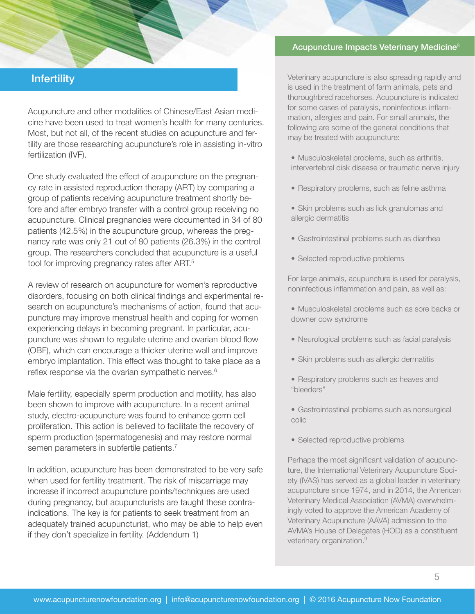# **Infertility**

Acupuncture and other modalities of Chinese/East Asian medicine have been used to treat women's health for many centuries. Most, but not all, of the recent studies on acupuncture and fertility are those researching acupuncture's role in assisting in-vitro fertilization (IVF).

One study evaluated the effect of acupuncture on the pregnancy rate in assisted reproduction therapy (ART) by comparing a group of patients receiving acupuncture treatment shortly before and after embryo transfer with a control group receiving no acupuncture. Clinical pregnancies were documented in 34 of 80 patients (42.5%) in the acupuncture group, whereas the pregnancy rate was only 21 out of 80 patients (26.3%) in the control group. The researchers concluded that acupuncture is a useful tool for improving pregnancy rates after ART.<sup>5</sup>

A review of research on acupuncture for women's reproductive disorders, focusing on both clinical findings and experimental research on acupuncture's mechanisms of action, found that acupuncture may improve menstrual health and coping for women experiencing delays in becoming pregnant. In particular, acupuncture was shown to regulate uterine and ovarian blood flow (OBF), which can encourage a thicker uterine wall and improve embryo implantation. This effect was thought to take place as a reflex response via the ovarian sympathetic nerves.<sup>6</sup>

Male fertility, especially sperm production and motility, has also been shown to improve with acupuncture. In a recent animal study, electro-acupuncture was found to enhance germ cell proliferation. This action is believed to facilitate the recovery of sperm production (spermatogenesis) and may restore normal semen parameters in subfertile patients.<sup>7</sup>

In addition, acupuncture has been demonstrated to be very safe when used for fertility treatment. The risk of miscarriage may increase if incorrect acupuncture points/techniques are used during pregnancy, but acupuncturists are taught these contraindications. The key is for patients to seek treatment from an adequately trained acupuncturist, who may be able to help even if they don't specialize in fertility. (Addendum 1)

#### Acupuncture Impacts Veterinary Medicine<sup>8</sup>

Veterinary acupuncture is also spreading rapidly and is used in the treatment of farm animals, pets and thoroughbred racehorses. Acupuncture is indicated for some cases of paralysis, noninfectious inflammation, allergies and pain. For small animals, the following are some of the general conditions that may be treated with acupuncture:

- Musculoskeletal problems, such as arthritis, intervertebral disk disease or traumatic nerve injury
- Respiratory problems, such as feline asthma
- Skin problems such as lick granulomas and allergic dermatitis
- Gastrointestinal problems such as diarrhea
- Selected reproductive problems

For large animals, acupuncture is used for paralysis, noninfectious inflammation and pain, as well as:

- Musculoskeletal problems such as sore backs or downer cow syndrome
- Neurological problems such as facial paralysis
- Skin problems such as allergic dermatitis
- Respiratory problems such as heaves and "bleeders"
- Gastrointestinal problems such as nonsurgical colic
- Selected reproductive problems

Perhaps the most significant validation of acupuncture, the International Veterinary Acupuncture Society (IVAS) has served as a global leader in veterinary acupuncture since 1974, and in 2014, the American Veterinary Medical Association (AVMA) overwhelmingly voted to approve the American Academy of Veterinary Acupuncture (AAVA) admission to the AVMA's House of Delegates (HOD) as a constituent veterinary organization.<sup>9</sup>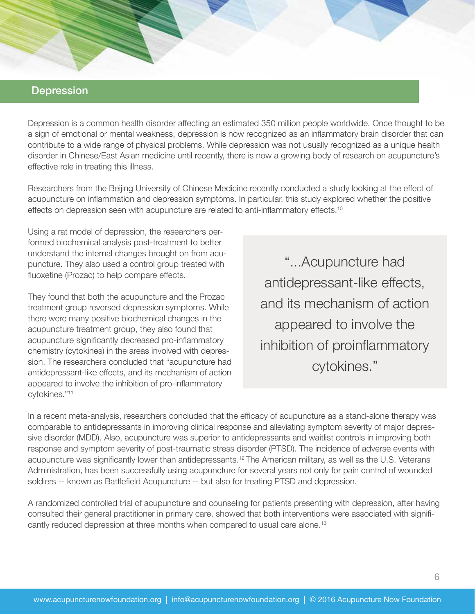## **Depression**

Depression is a common health disorder affecting an estimated 350 million people worldwide. Once thought to be a sign of emotional or mental weakness, depression is now recognized as an inflammatory brain disorder that can contribute to a wide range of physical problems. While depression was not usually recognized as a unique health disorder in Chinese/East Asian medicine until recently, there is now a growing body of research on acupuncture's effective role in treating this illness.

Researchers from the Beijing University of Chinese Medicine recently conducted a study looking at the effect of acupuncture on inflammation and depression symptoms. In particular, this study explored whether the positive effects on depression seen with acupuncture are related to anti-inflammatory effects.<sup>10</sup>

Using a rat model of depression, the researchers performed biochemical analysis post-treatment to better understand the internal changes brought on from acupuncture. They also used a control group treated with fluoxetine (Prozac) to help compare effects.

They found that both the acupuncture and the Prozac treatment group reversed depression symptoms. While there were many positive biochemical changes in the acupuncture treatment group, they also found that acupuncture significantly decreased pro-inflammatory chemistry (cytokines) in the areas involved with depression. The researchers concluded that "acupuncture had antidepressant-like effects, and its mechanism of action appeared to involve the inhibition of pro-inflammatory cytokines."11

"...Acupuncture had antidepressant-like effects, and its mechanism of action appeared to involve the inhibition of proinflammatory cytokines."

In a recent meta-analysis, researchers concluded that the efficacy of acupuncture as a stand-alone therapy was comparable to antidepressants in improving clinical response and alleviating symptom severity of major depressive disorder (MDD). Also, acupuncture was superior to antidepressants and waitlist controls in improving both response and symptom severity of post-traumatic stress disorder (PTSD). The incidence of adverse events with acupuncture was significantly lower than antidepressants.<sup>12</sup> The American military, as well as the U.S. Veterans Administration, has been successfully using acupuncture for several years not only for pain control of wounded soldiers -- known as Battlefield Acupuncture -- but also for treating PTSD and depression.

A randomized controlled trial of acupuncture and counseling for patients presenting with depression, after having consulted their general practitioner in primary care, showed that both interventions were associated with significantly reduced depression at three months when compared to usual care alone.13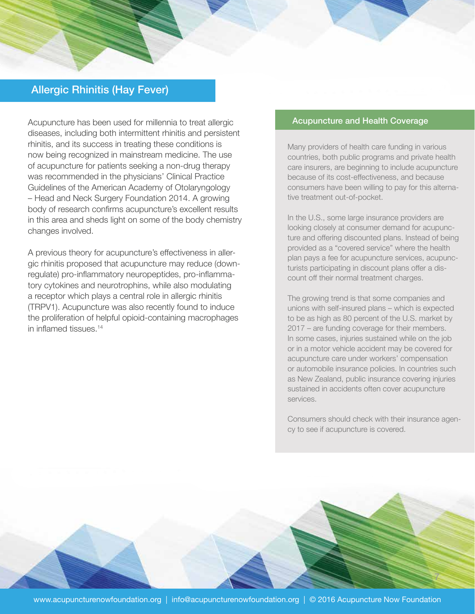# Allergic Rhinitis (Hay Fever)

Acupuncture has been used for millennia to treat allergic diseases, including both intermittent rhinitis and persistent rhinitis, and its success in treating these conditions is now being recognized in mainstream medicine. The use of acupuncture for patients seeking a non-drug therapy was recommended in the physicians' Clinical Practice Guidelines of the American Academy of Otolaryngology – Head and Neck Surgery Foundation 2014. A growing body of research confirms acupuncture's excellent results in this area and sheds light on some of the body chemistry changes involved.

A previous theory for acupuncture's effectiveness in allergic rhinitis proposed that acupuncture may reduce (downregulate) pro-inflammatory neuropeptides, pro-inflammatory cytokines and neurotrophins, while also modulating a receptor which plays a central role in allergic rhinitis (TRPV1). Acupuncture was also recently found to induce the proliferation of helpful opioid-containing macrophages in inflamed tissues.<sup>14</sup>

#### Acupuncture and Health Coverage

Many providers of health care funding in various countries, both public programs and private health care insurers, are beginning to include acupuncture because of its cost-effectiveness, and because consumers have been willing to pay for this alternative treatment out-of-pocket.

In the U.S., some large insurance providers are looking closely at consumer demand for acupuncture and offering discounted plans. Instead of being provided as a "covered service" where the health plan pays a fee for acupuncture services, acupuncturists participating in discount plans offer a discount off their normal treatment charges.

The growing trend is that some companies and unions with self-insured plans – which is expected to be as high as 80 percent of the U.S. market by 2017 – are funding coverage for their members. In some cases, injuries sustained while on the job or in a motor vehicle accident may be covered for acupuncture care under workers' compensation or automobile insurance policies. In countries such as New Zealand, public insurance covering injuries sustained in accidents often cover acupuncture services.

Consumers should check with their insurance agency to see if acupuncture is covered.

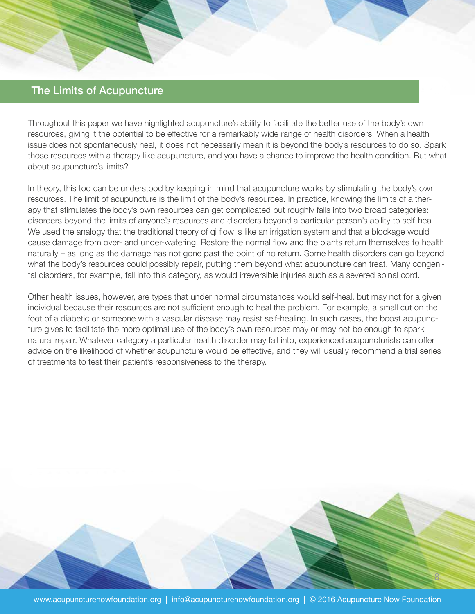# The Limits of Acupuncture

Throughout this paper we have highlighted acupuncture's ability to facilitate the better use of the body's own resources, giving it the potential to be effective for a remarkably wide range of health disorders. When a health issue does not spontaneously heal, it does not necessarily mean it is beyond the body's resources to do so. Spark those resources with a therapy like acupuncture, and you have a chance to improve the health condition. But what about acupuncture's limits?

In theory, this too can be understood by keeping in mind that acupuncture works by stimulating the body's own resources. The limit of acupuncture is the limit of the body's resources. In practice, knowing the limits of a therapy that stimulates the body's own resources can get complicated but roughly falls into two broad categories: disorders beyond the limits of anyone's resources and disorders beyond a particular person's ability to self-heal. We used the analogy that the traditional theory of qi flow is like an irrigation system and that a blockage would cause damage from over- and under-watering. Restore the normal flow and the plants return themselves to health naturally – as long as the damage has not gone past the point of no return. Some health disorders can go beyond what the body's resources could possibly repair, putting them beyond what acupuncture can treat. Many congenital disorders, for example, fall into this category, as would irreversible injuries such as a severed spinal cord.

Other health issues, however, are types that under normal circumstances would self-heal, but may not for a given individual because their resources are not sufficient enough to heal the problem. For example, a small cut on the foot of a diabetic or someone with a vascular disease may resist self-healing. In such cases, the boost acupuncture gives to facilitate the more optimal use of the body's own resources may or may not be enough to spark natural repair. Whatever category a particular health disorder may fall into, experienced acupuncturists can offer advice on the likelihood of whether acupuncture would be effective, and they will usually recommend a trial series of treatments to test their patient's responsiveness to the therapy.

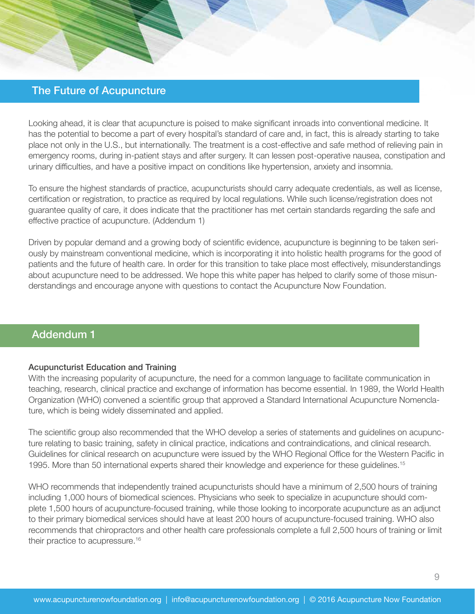# The Future of Acupuncture

Looking ahead, it is clear that acupuncture is poised to make significant inroads into conventional medicine. It has the potential to become a part of every hospital's standard of care and, in fact, this is already starting to take place not only in the U.S., but internationally. The treatment is a cost-effective and safe method of relieving pain in emergency rooms, during in-patient stays and after surgery. It can lessen post-operative nausea, constipation and urinary difficulties, and have a positive impact on conditions like hypertension, anxiety and insomnia.

To ensure the highest standards of practice, acupuncturists should carry adequate credentials, as well as license, certification or registration, to practice as required by local regulations. While such license/registration does not guarantee quality of care, it does indicate that the practitioner has met certain standards regarding the safe and effective practice of acupuncture. (Addendum 1)

Driven by popular demand and a growing body of scientific evidence, acupuncture is beginning to be taken seriously by mainstream conventional medicine, which is incorporating it into holistic health programs for the good of patients and the future of health care. In order for this transition to take place most effectively, misunderstandings about acupuncture need to be addressed. We hope this white paper has helped to clarify some of those misunderstandings and encourage anyone with questions to contact the Acupuncture Now Foundation.

# Addendum 1

## Acupuncturist Education and Training

With the increasing popularity of acupuncture, the need for a common language to facilitate communication in teaching, research, clinical practice and exchange of information has become essential. In 1989, the World Health Organization (WHO) convened a scientific group that approved a Standard International Acupuncture Nomenclature, which is being widely disseminated and applied.

The scientific group also recommended that the WHO develop a series of statements and guidelines on acupuncture relating to basic training, safety in clinical practice, indications and contraindications, and clinical research. Guidelines for clinical research on acupuncture were issued by the WHO Regional Office for the Western Pacific in 1995. More than 50 international experts shared their knowledge and experience for these guidelines.15

WHO recommends that independently trained acupuncturists should have a minimum of 2,500 hours of training including 1,000 hours of biomedical sciences. Physicians who seek to specialize in acupuncture should complete 1,500 hours of acupuncture-focused training, while those looking to incorporate acupuncture as an adjunct to their primary biomedical services should have at least 200 hours of acupuncture-focused training. WHO also recommends that chiropractors and other health care professionals complete a full 2,500 hours of training or limit their practice to acupressure.<sup>16</sup>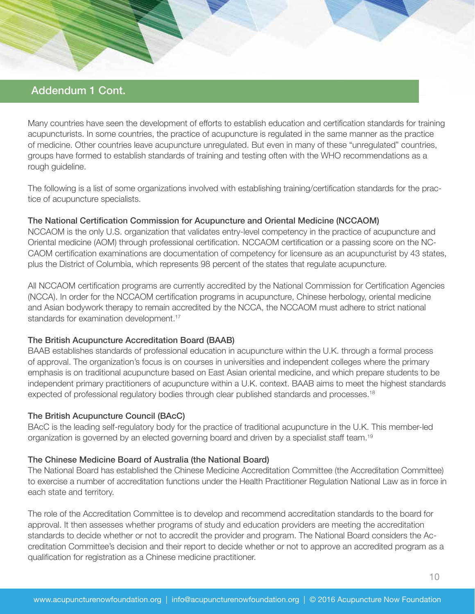# Addendum 1 Cont.

Many countries have seen the development of efforts to establish education and certification standards for training acupuncturists. In some countries, the practice of acupuncture is regulated in the same manner as the practice of medicine. Other countries leave acupuncture unregulated. But even in many of these "unregulated" countries, groups have formed to establish standards of training and testing often with the WHO recommendations as a rough guideline.

The following is a list of some organizations involved with establishing training/certification standards for the practice of acupuncture specialists.

## The National Certification Commission for Acupuncture and Oriental Medicine (NCCAOM)

NCCAOM is the only U.S. organization that validates entry-level competency in the practice of acupuncture and Oriental medicine (AOM) through professional certification. NCCAOM certification or a passing score on the NC-CAOM certification examinations are documentation of competency for licensure as an acupuncturist by 43 states, plus the District of Columbia, which represents 98 percent of the states that regulate acupuncture.

All NCCAOM certification programs are currently accredited by the National Commission for Certification Agencies (NCCA). In order for the NCCAOM certification programs in acupuncture, Chinese herbology, oriental medicine and Asian bodywork therapy to remain accredited by the NCCA, the NCCAOM must adhere to strict national standards for examination development.<sup>17</sup>

## The British Acupuncture Accreditation Board (BAAB)

BAAB establishes standards of professional education in acupuncture within the U.K. through a formal process of approval. The organization's focus is on courses in universities and independent colleges where the primary emphasis is on traditional acupuncture based on East Asian oriental medicine, and which prepare students to be independent primary practitioners of acupuncture within a U.K. context. BAAB aims to meet the highest standards expected of professional regulatory bodies through clear published standards and processes.<sup>18</sup>

## The British Acupuncture Council (BAcC)

BAcC is the leading self-regulatory body for the practice of traditional acupuncture in the U.K. This member-led organization is governed by an elected governing board and driven by a specialist staff team.<sup>19</sup>

## The Chinese Medicine Board of Australia (the National Board)

The National Board has established the Chinese Medicine Accreditation Committee (the Accreditation Committee) to exercise a number of accreditation functions under the Health Practitioner Regulation National Law as in force in each state and territory.

The role of the Accreditation Committee is to develop and recommend accreditation standards to the board for approval. It then assesses whether programs of study and education providers are meeting the accreditation standards to decide whether or not to accredit the provider and program. The National Board considers the Accreditation Committee's decision and their report to decide whether or not to approve an accredited program as a qualification for registration as a Chinese medicine practitioner.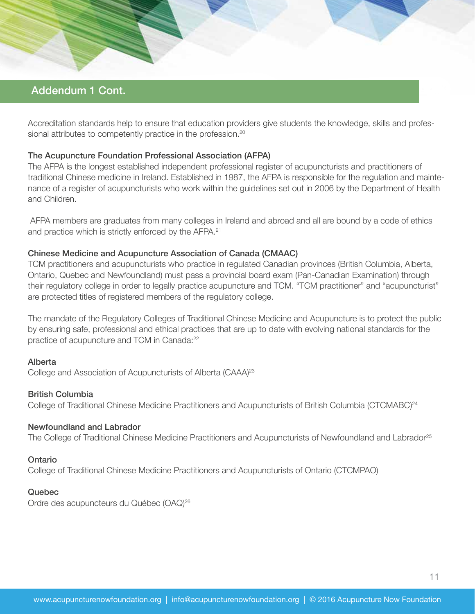# Addendum 1 Cont.

Accreditation standards help to ensure that education providers give students the knowledge, skills and professional attributes to competently practice in the profession.<sup>20</sup>

## The Acupuncture Foundation Professional Association (AFPA)

The AFPA is the longest established independent professional register of acupuncturists and practitioners of traditional Chinese medicine in Ireland. Established in 1987, the AFPA is responsible for the regulation and maintenance of a register of acupuncturists who work within the guidelines set out in 2006 by the Department of Health and Children.

 AFPA members are graduates from many colleges in Ireland and abroad and all are bound by a code of ethics and practice which is strictly enforced by the AFPA.<sup>21</sup>

### Chinese Medicine and Acupuncture Association of Canada (CMAAC)

TCM practitioners and acupuncturists who practice in regulated Canadian provinces (British Columbia, Alberta, Ontario, Quebec and Newfoundland) must pass a provincial board exam (Pan-Canadian Examination) through their regulatory college in order to legally practice acupuncture and TCM. "TCM practitioner" and "acupuncturist" are protected titles of registered members of the regulatory college.

The mandate of the Regulatory Colleges of Traditional Chinese Medicine and Acupuncture is to protect the public by ensuring safe, professional and ethical practices that are up to date with evolving national standards for the practice of acupuncture and TCM in Canada:<sup>22</sup>

### Alberta

College and Association of Acupuncturists of Alberta (CAAA)<sup>23</sup>

#### British Columbia

College of Traditional Chinese Medicine Practitioners and Acupuncturists of British Columbia (CTCMABC)<sup>24</sup>

#### Newfoundland and Labrador

The College of Traditional Chinese Medicine Practitioners and Acupuncturists of Newfoundland and Labrador<sup>25</sup>

#### **Ontario**

College of Traditional Chinese Medicine Practitioners and Acupuncturists of Ontario (CTCMPAO)

## Quebec

Ordre des acupuncteurs du Québec (OAQ)<sup>26</sup>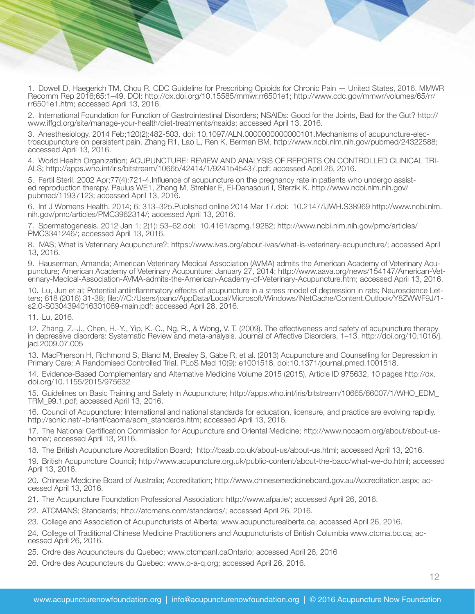1. Dowell D, Haegerich TM, Chou R. CDC Guideline for Prescribing Opioids for Chronic Pain — United States, 2016. MMWR Recomm Rep 2016;65:1–49. DOI: http://dx.doi.org/10.15585/mmwr.rr6501e1; http://www.cdc.gov/mmwr/volumes/65/rr/ rr6501e1.htm; accessed April 13, 2016.

2. International Foundation for Function of Gastrointestinal Disorders; NSAIDs: Good for the Joints, Bad for the Gut? http:// www.iffgd.org/site/manage-your-health/diet-treatments/nsaids; accessed April 13, 2016.

3. Anesthesiology. 2014 Feb;120(2):482-503. doi: 10.1097/ALN.0000000000000101.Mechanisms of acupuncture-elec- troacupuncture on persistent pain. Zhang R1, Lao L, Ren K, Berman BM. http://www.ncbi.nlm.nih.gov/pubmed/24322588; accessed April 13, 2016.

4. World Health Organization; ACUPUNCTURE: REVIEW AND ANALYSIS OF REPORTS ON CONTROLLED CLINICAL TRI-<br>ALS; http://apps.who.int/iris/bitstream/10665/42414/1/9241545437.pdf; accessed April 26, 2016.

5. Fertil Steril. 2002 Apr;77(4):721-4.Influence of acupuncture on the pregnancy rate in patients who undergo assist-<br>ed reproduction therapy. Paulus WE1, Zhang M, Strehler E, El-Danasouri I, Sterzik K. http://www.ncbi.nlm pubmed/11937123; accessed April 13, 2016.

6. Int J Womens Health. 2014; 6: 313–325.Published online 2014 Mar 17.doi: 10.2147/IJWH.S38969 http://www.ncbi.nlm. nih.gov/pmc/articles/PMC3962314/; accessed April 13, 2016.

7. Spermatogenesis. 2012 Jan 1; 2(1): 53–62.doi: 10.4161/spmg.19282; http://www.ncbi.nlm.nih.gov/pmc/articles/ PMC3341246/; accessed April 13, 2016.

8. IVAS; What is Veterinary Acupuncture?; https://www.ivas.org/about-ivas/what-is-veterinary-acupuncture/; accessed April 13, 2016.

9. Hauserman, Amanda; American Veterinary Medical Association (AVMA) admits the American Academy of Veterinary Acupuncture; American Academy of Veterinary Acupunture; January 27, 2014; http://www.aava.org/news/154147/American-Veterinary-Medical-Association-AVMA-admits-the-American-Academy-of-Veterinary-Acupuncture.htm; accessed April 13, 2016.

10. Lu, Jun et al; Potential antiinflammatory effects of acupuncture in a stress model of depression in rats; Neuroscience Letters; 618 (2016) 31-38; file:///C:/Users/joanc/AppData/Local/Microsoft/Windows/INetCache/Content.Outlook/Y8ZWWF9J/1 s2.0-S0304394016301069-main.pdf; accessed April 28, 2016.

11. Lu, 2016.

12. Zhang, Z.-J., Chen, H.-Y., Yip, K.-C., Ng, R., & Wong, V. T. (2009). The effectiveness and safety of acupuncture therapy in depressive disorders: Systematic Review and meta-analysis. Journal of Affective Disorders, 1–13. http://doi.org/10.1016/j. jad.2009.07.005

13. MacPherson H, Richmond S, Bland M, Brealey S, Gabe R, et al. (2013) Acupuncture and Counselling for Depression in Primary Care: A Randomised Controlled Trial. PLoS Med 10(9): e1001518. doi:10.1371/journal.pmed.1001518.

14. Evidence-Based Complementary and Alternative Medicine Volume 2015 (2015), Article ID 975632, 10 pages http://dx. doi.org/10.1155/2015/975632

15. Guidelines on Basic Training and Safety in Acupuncture; http://apps.who.int/iris/bitstream/10665/66007/1/WHO\_EDM\_ TRM\_99.1.pdf; accessed April 13, 2016.

16. Council of Acupuncture; International and national standards for education, licensure, and practice are evolving rapidly. http://sonic.net/~brianf/caoma/aom\_standards.htm; accessed April 13, 2016.

17. The National Certification Commission for Acupuncture and Oriental Medicine; http://www.nccaom.org/about/about-ushome/; accessed April 13, 2016.

18. The British Acupuncture Accreditation Board; http://baab.co.uk/about-us/about-us.html; accessed April 13, 2016.

19. British Acupuncture Council; http://www.acupuncture.org.uk/public-content/about-the-bacc/what-we-do.html; accessed April 13, 2016.

20. Chinese Medicine Board of Australia; Accreditation; http://www.chinesemedicineboard.gov.au/Accreditation.aspx; ac- cessed April 13, 2016.

21. The Acupuncture Foundation Professional Association: http://www.afpa.ie/; accessed April 26, 2016.

22. ATCMANS; Standards; http://atcmans.com/standards/; accessed April 26, 2016.

23. College and Association of Acupuncturists of Alberta; www.acupuncturealberta.ca; accessed April 26, 2016.

24. College of Traditional Chinese Medicine Practitioners and Acupuncturists of British Columbia www.ctcma.bc.ca; accessed April 26, 2016.

25. Ordre des Acupuncteurs du Quebec; www.ctcmpanl.caOntario; accessed April 26, 2016

26. Ordre des Acupuncteurs du Quebec; www.o-a-q.org; accessed April 26, 2016.